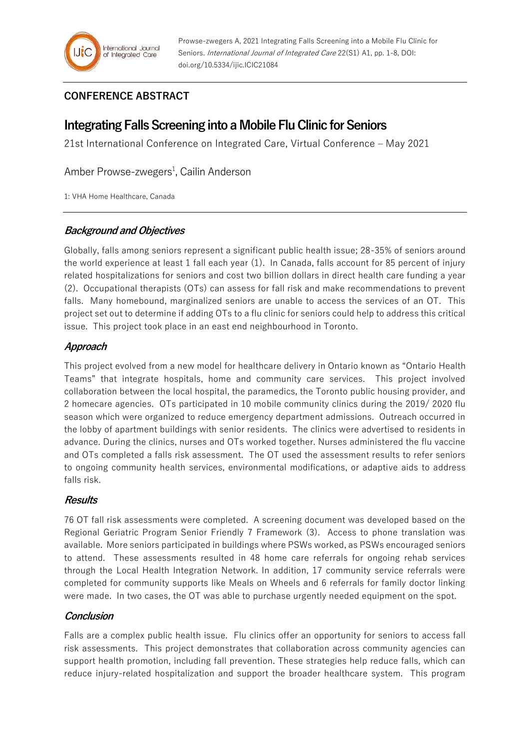# **CONFERENCE ABSTRACT**

# **Integrating Falls Screening into a Mobile Flu Clinic for Seniors**

21st International Conference on Integrated Care, Virtual Conference – May 2021

Amber Prowse-zwegers<sup>1</sup>, Cailin Anderson

1: VHA Home Healthcare, Canada

#### **Background and Objectives**

Globally, falls among seniors represent a significant public health issue; 28-35% of seniors around the world experience at least 1 fall each year (1). In Canada, falls account for 85 percent of injury related hospitalizations for seniors and cost two billion dollars in direct health care funding a year (2). Occupational therapists (OTs) can assess for fall risk and make recommendations to prevent falls. Many homebound, marginalized seniors are unable to access the services of an OT. This project set out to determine if adding OTs to a flu clinic for seniors could help to address this critical issue. This project took place in an east end neighbourhood in Toronto.

## **Approach**

This project evolved from a new model for healthcare delivery in Ontario known as "Ontario Health Teams" that integrate hospitals, home and community care services. This project involved collaboration between the local hospital, the paramedics, the Toronto public housing provider, and 2 homecare agencies. OTs participated in 10 mobile community clinics during the 2019/ 2020 flu season which were organized to reduce emergency department admissions. Outreach occurred in the lobby of apartment buildings with senior residents. The clinics were advertised to residents in advance. During the clinics, nurses and OTs worked together. Nurses administered the flu vaccine and OTs completed a falls risk assessment. The OT used the assessment results to refer seniors to ongoing community health services, environmental modifications, or adaptive aids to address falls risk.

## **Results**

76 OT fall risk assessments were completed. A screening document was developed based on the Regional Geriatric Program Senior Friendly 7 Framework (3). Access to phone translation was available. More seniors participated in buildings where PSWs worked, as PSWs encouraged seniors to attend. These assessments resulted in 48 home care referrals for ongoing rehab services through the Local Health Integration Network. In addition, 17 community service referrals were completed for community supports like Meals on Wheels and 6 referrals for family doctor linking were made. In two cases, the OT was able to purchase urgently needed equipment on the spot.

## **Conclusion**

Falls are a complex public health issue. Flu clinics offer an opportunity for seniors to access fall risk assessments. This project demonstrates that collaboration across community agencies can support health promotion, including fall prevention. These strategies help reduce falls, which can reduce injury-related hospitalization and support the broader healthcare system. This program